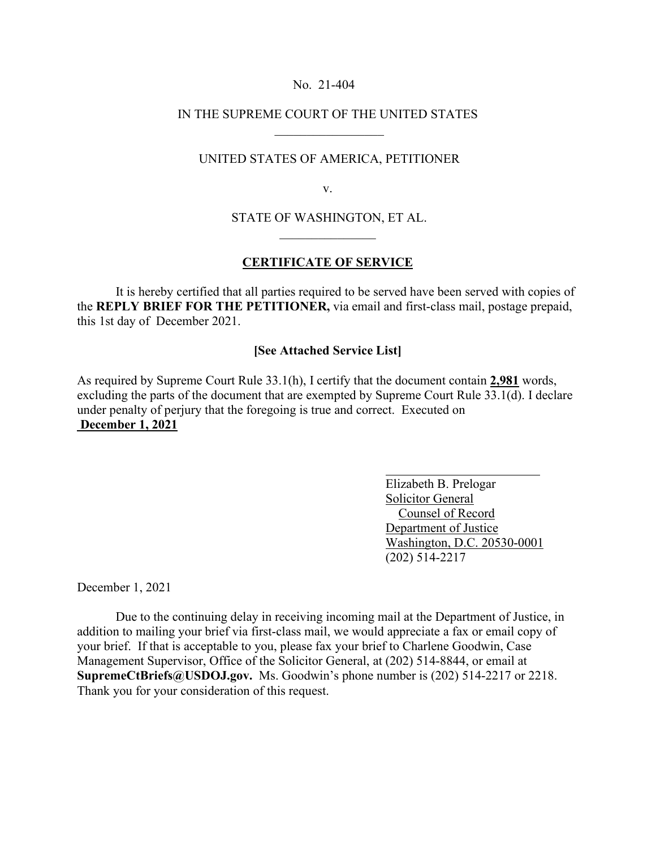#### No. 21-404

# IN THE SUPREME COURT OF THE UNITED STATES  $\frac{1}{2}$  ,  $\frac{1}{2}$  ,  $\frac{1}{2}$  ,  $\frac{1}{2}$  ,  $\frac{1}{2}$  ,  $\frac{1}{2}$  ,  $\frac{1}{2}$  ,  $\frac{1}{2}$  ,  $\frac{1}{2}$  ,  $\frac{1}{2}$

### UNITED STATES OF AMERICA, PETITIONER

v.

STATE OF WASHINGTON, ET AL.  $\mathcal{L}$  , where  $\mathcal{L}$ 

## **CERTIFICATE OF SERVICE**

 It is hereby certified that all parties required to be served have been served with copies of the **REPLY BRIEF FOR THE PETITIONER,** via email and first-class mail, postage prepaid, this 1st day of December 2021.

### **[See Attached Service List]**

As required by Supreme Court Rule 33.1(h), I certify that the document contain **2,981** words, excluding the parts of the document that are exempted by Supreme Court Rule 33.1(d). I declare under penalty of perjury that the foregoing is true and correct. Executed on **December 1, 2021** 

> Elizabeth B. Prelogar Solicitor General Counsel of Record Department of Justice Washington, D.C. 20530-0001 (202) 514-2217

December 1, 2021

 Due to the continuing delay in receiving incoming mail at the Department of Justice, in addition to mailing your brief via first-class mail, we would appreciate a fax or email copy of your brief. If that is acceptable to you, please fax your brief to Charlene Goodwin, Case Management Supervisor, Office of the Solicitor General, at (202) 514-8844, or email at **SupremeCtBriefs@USDOJ.gov.** Ms. Goodwin's phone number is (202) 514-2217 or 2218. Thank you for your consideration of this request.